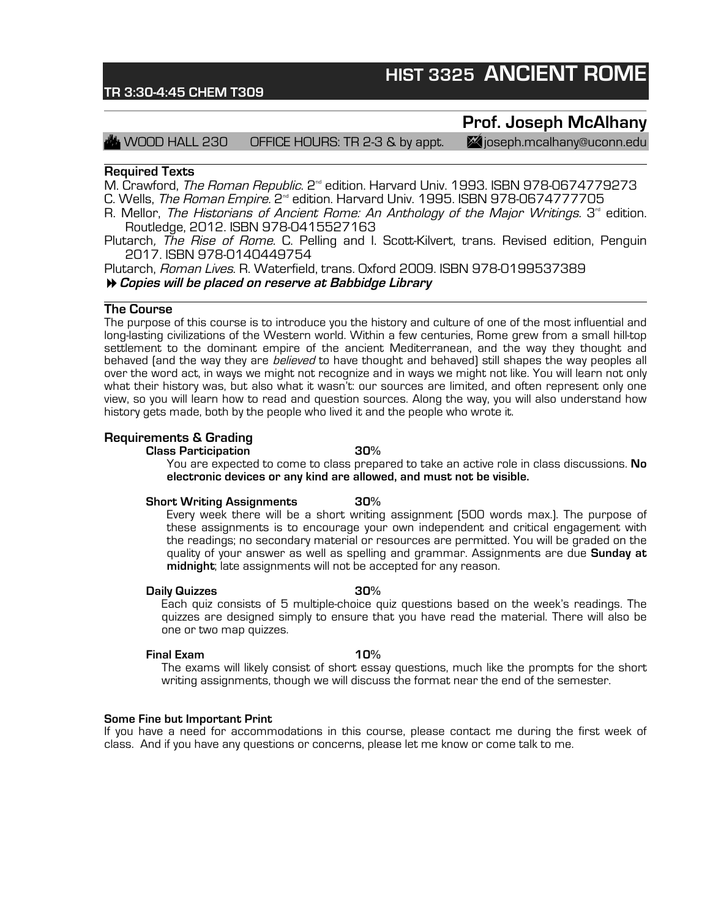## **HIST 3325 ANCIENT ROME**

### **TR 3:30-4:45 CHEM T309**

### **Prof. Joseph McAlhany**

 $\,$  WOOD HALL 230  $\,$  OFFICE HOURS: TR 2-3 & by appt.  $\,$   $\,$   $\,$   $\,$  (joseph.mcalhany@uconn.edu

### **Required Texts**

M. Crawford, The Roman Republic. 2<sup>nd</sup> edition. Harvard Univ. 1993. ISBN 978-0674779273

C. Wells, *The Roman Empire*, 2<sup>™</sup> edition. Harvard Univ. 1995. ISBN 978-0674777705

- R. Mellor, The Historians of Ancient Rome: An Anthology of the Major Writings.  $3<sup>rd</sup>$  edition. Routledge, 2012. ISBN 978-0415527163
- Plutarch, The Rise of Rome. C. Pelling and I. Scott-Kilvert, trans. Revised edition, Penguin 2017. ISBN 978-0140449754

Plutarch, Roman Lives. R. Waterfield, trans. Oxford 2009. ISBN 978-0199537389 #**Copies will be placed on reserve at Babbidge Library**

### **The Course**

The purpose of this course is to introduce you the history and culture of one of the most influential and long-lasting civilizations of the Western world. Within a few centuries, Rome grew from a small hill-top settlement to the dominant empire of the ancient Mediterranean, and the way they thought and behaved (and the way they are *believed* to have thought and behaved) still shapes the way peoples all over the word act, in ways we might not recognize and in ways we might not like. You will learn not only what their history was, but also what it wasn't: our sources are limited, and often represent only one view, so you will learn how to read and question sources. Along the way, you will also understand how history gets made, both by the people who lived it and the people who wrote it.

### **Requirements & Grading**

### **Class Participation 30%**

You are expected to come to class prepared to take an active role in class discussions. **No electronic devices or any kind are allowed, and must not be visible.**

#### **Short Writing Assignments 30%**

Every week there will be a short writing assignment (500 words max.). The purpose of these assignments is to encourage your own independent and critical engagement with the readings; no secondary material or resources are permitted. You will be graded on the quality of your answer as well as spelling and grammar. Assignments are due **Sunday at midnight**; late assignments will not be accepted for any reason.

#### **Daily Quizzes 30%**

Each quiz consists of 5 multiple-choice quiz questions based on the week's readings. The quizzes are designed simply to ensure that you have read the material. There will also be one or two map quizzes.

#### **Final Exam 10%**

The exams will likely consist of short essay questions, much like the prompts for the short writing assignments, though we will discuss the format near the end of the semester.

#### **Some Fine but Important Print**

If you have a need for accommodations in this course, please contact me during the first week of class. And if you have any questions or concerns, please let me know or come talk to me.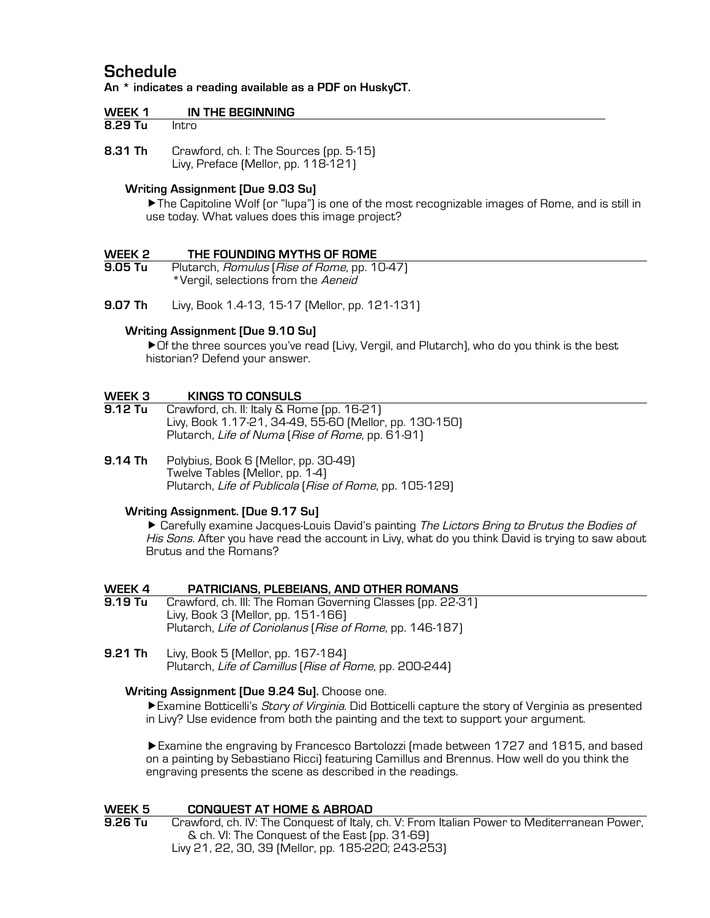### **Schedule**

**An \* indicates a reading available as a PDF on HuskyCT.**

| IN THE BEGINNING<br>WEEK 1 |  |
|----------------------------|--|
|----------------------------|--|

**8.31 Th** Crawford, ch. I: The Sources (pp. 5-15) Livy, Preface (Mellor, pp. 118-121)

### **Writing Assignment [Due 9.03 Su]**

The Capitoline Wolf (or "lupa") is one of the most recognizable images of Rome, and is still in use today. What values does this image project?

# **WEEK 2 THE FOUNDING MYTHS OF ROME**

Plutarch, Romulus (Rise of Rome, pp. 10-47) \*Vergil, selections from the Aeneid

**9.07 Th** Livy, Book 1.4-13, 15-17 (Mellor, pp. 121-131)

### **Writing Assignment [Due 9.10 Su]**

Of the three sources you've read (Livy, Vergil, and Plutarch), who do you think is the best historian? Defend your answer.

# **WEEK 3 KINGS TO CONSULS**<br>**9.12 Tu Crawford, ch. II: Italy & Ror**

- Crawford, ch. II: Italy & Rome (pp. 16-21) Livy, Book 1.17-21, 34-49, 55-60 (Mellor, pp. 130-150) Plutarch, Life of Numa (Rise of Rome, pp. 61-91)
- **9.14 Th** Polybius, Book 6 (Mellor, pp. 30-49) Twelve Tables (Mellor, pp. 1-4) Plutarch, Life of Publicola (Rise of Rome, pp. 105-129)

### **Writing Assignment. [Due 9.17 Su]**

▶ Carefully examine Jacques-Louis David's painting The Lictors Bring to Brutus the Bodies of His Sons. After you have read the account in Livy, what do you think David is trying to saw about Brutus and the Romans?

### **WEEK 4 PATRICIANS, PLEBEIANS, AND OTHER ROMANS**

- **9.19 Tu** Crawford, ch. III: The Roman Governing Classes (pp. 22-31) Livy, Book 3 (Mellor, pp. 151-166) Plutarch, Life of Coriolanus (Rise of Rome, pp. 146-187)
- **9.21 Th** Livy, Book 5 (Mellor, pp. 167-184) Plutarch, Life of Camillus (Rise of Rome, pp. 200-244)

### **Writing Assignment [Due 9.24 Su].** Choose one.

Examine Botticelli's *Story of Virginia*. Did Botticelli capture the story of Verginia as presented in Livy? Use evidence from both the painting and the text to support your argument.

Examine the engraving by Francesco Bartolozzi (made between 1727 and 1815, and based on a painting by Sebastiano Ricci) featuring Camillus and Brennus. How well do you think the engraving presents the scene as described in the readings.

## **WEEK 5 CONQUEST AT HOME & ABROAD**<br>**9.26 Tu Crawford, ch. IV: The Conquest of Italy.**

**9.26 Tu** Crawford, ch. IV: The Conquest of Italy, ch. V: From Italian Power to Mediterranean Power, & ch. VI: The Conquest of the East (pp. 31-69) Livy 21, 22, 30, 39 (Mellor, pp. 185-220; 243-253)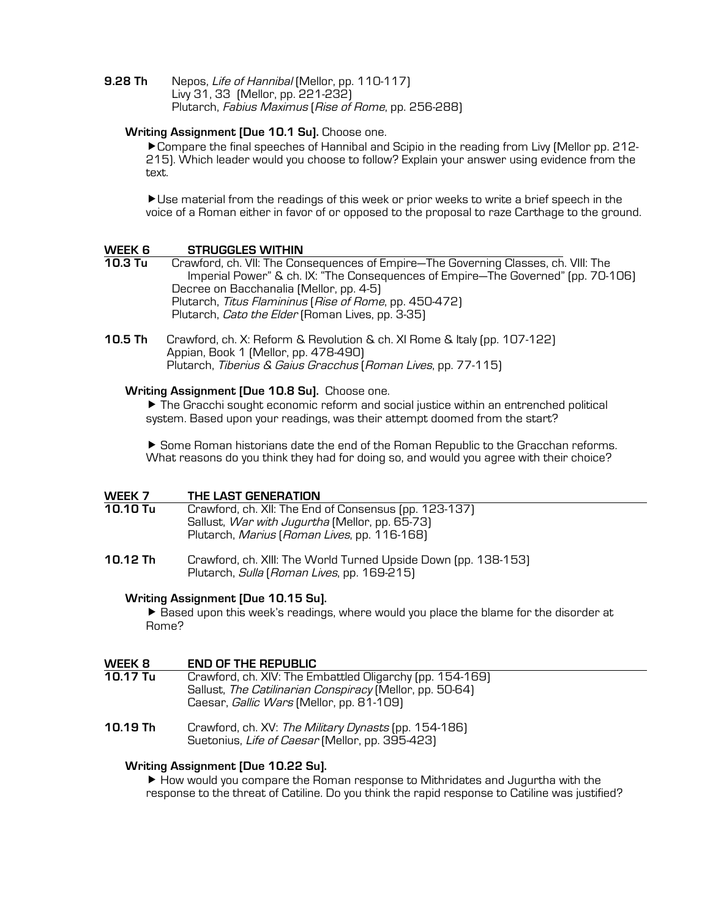**9.28 Th** Nepos, Life of Hannibal (Mellor, pp. 110-117) Livy 31, 33 (Mellor, pp. 221-232) Plutarch, Fabius Maximus (Rise of Rome, pp. 256-288)

### **Writing Assignment [Due 10.1 Su].** Choose one.

Compare the final speeches of Hannibal and Scipio in the reading from Livy (Mellor pp. 212- 215). Which leader would you choose to follow? Explain your answer using evidence from the text.

Use material from the readings of this week or prior weeks to write a brief speech in the voice of a Roman either in favor of or opposed to the proposal to raze Carthage to the ground.

### **WEEK 6 STRUGGLES WITHIN 10.3 Tu** Crawford, ch. VII: The Consequences of Empire—The Governing Classes, ch. VIII: The Imperial Power" & ch. IX: "The Consequences of Empire—The Governed" (pp. 70-106) Decree on Bacchanalia (Mellor, pp. 4-5) Plutarch, Titus Flamininus (Rise of Rome, pp. 450-472) Plutarch, *Cato the Elder* (Roman Lives, pp. 3-35)

**10.5 Th** Crawford, ch. X: Reform & Revolution & ch. XI Rome & Italy (pp. 107-122) Appian, Book 1 (Mellor, pp. 478-490) Plutarch, Tiberius & Gaius Gracchus (Roman Lives, pp. 77-115)

### **Writing Assignment [Due 10.8 Su].** Choose one.

 The Gracchi sought economic reform and social justice within an entrenched political system. Based upon your readings, was their attempt doomed from the start?

 Some Roman historians date the end of the Roman Republic to the Gracchan reforms. What reasons do you think they had for doing so, and would you agree with their choice?

| WEEK 7   | THE LAST GENERATION                                                                                                                                    |
|----------|--------------------------------------------------------------------------------------------------------------------------------------------------------|
| 10.10 Tu | Crawford, ch. XII: The End of Consensus (pp. 123-137)<br>Sallust, War with Jugurtha (Mellor, pp. 65-73)<br>Plutarch, Marius (Roman Lives, pp. 116-168) |
| 10.12 Th | Crawford, ch. XIII: The World Turned Upside Down (pp. 138-153)<br>Plutarch, Sulla (Roman Lives, pp. 169-215)                                           |

### **Writing Assignment [Due 10.15 Su].**

 Based upon this week's readings, where would you place the blame for the disorder at Rome?

### **WEEK 8 END OF THE REPUBLIC**

- Crawford, ch. XIV: The Embattled Oligarchy (pp. 154-169) Sallust, The Catilinarian Conspiracy (Mellor, pp. 50-64) Caesar, *Gallic Wars* (Mellor, pp. 81-109)
- **10.19 Th** Crawford, ch. XV: The Military Dynasts (pp. 154-186) Suetonius, Life of Caesar (Mellor, pp. 395-423)

### **Writing Assignment [Due 10.22 Su].**

 $\blacktriangleright$  How would you compare the Roman response to Mithridates and Jugurtha with the response to the threat of Catiline. Do you think the rapid response to Catiline was justified?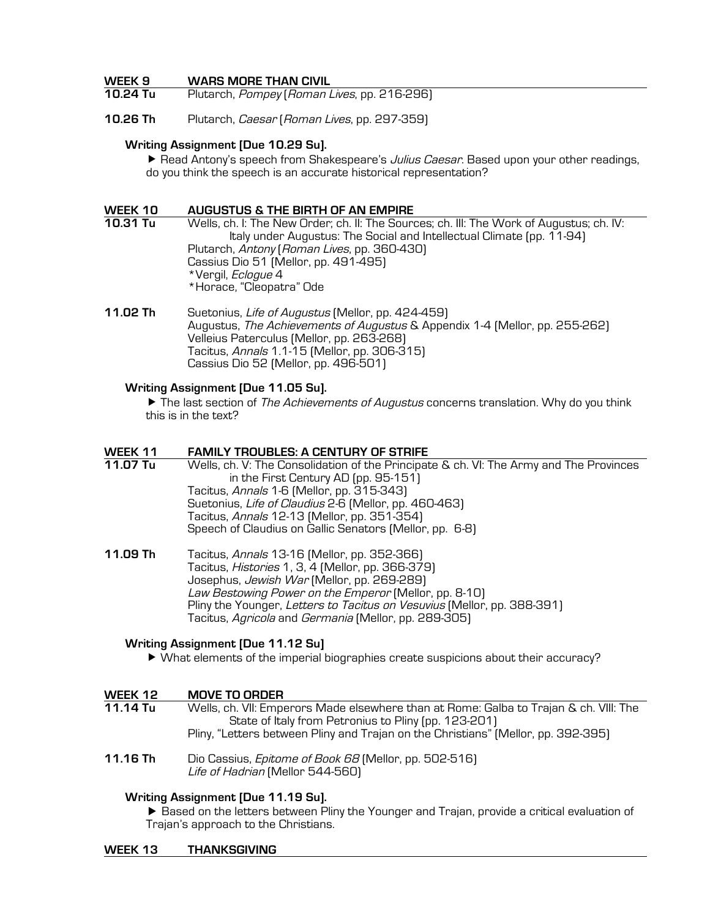### **WEEK 9 WARS MORE THAN CIVIL**

- Plutarch, Pompey (Roman Lives, pp. 216-296)
- **10.26 Th** Plutarch, Caesar (Roman Lives, pp. 297-359)

#### **Writing Assignment [Due 10.29 Su].**

Read Antony's speech from Shakespeare's *Julius Caesar*. Based upon your other readings, do you think the speech is an accurate historical representation?

### **WEEK 10 AUGUSTUS & THE BIRTH OF AN EMPIRE**

**10.31 Tu** Wells, ch. I: The New Order; ch. II: The Sources; ch. III: The Work of Augustus; ch. IV: Italy under Augustus: The Social and Intellectual Climate (pp. 11-94) Plutarch, Antony (Roman Lives, pp. 360-430) Cassius Dio 51 (Mellor, pp. 491-495) \*Vergil, Eclogue 4 \*Horace, "Cleopatra" Ode

**11.02 Th** Suetonius, Life of Augustus (Mellor, pp. 424-459) Augustus, The Achievements of Augustus & Appendix 1-4 (Mellor, pp. 255-262) Velleius Paterculus (Mellor, pp. 263-268) Tacitus, Annals 1.1-15 (Mellor, pp. 306-315) Cassius Dio 52 (Mellor, pp. 496-501)

### **Writing Assignment [Due 11.05 Su].**

 $\blacktriangleright$  The last section of *The Achievements of Augustus* concerns translation. Why do you think this is in the text?

### **WEEK 11 FAMILY TROUBLES: A CENTURY OF STRIFE**

**11.07 Tu** Wells, ch. V: The Consolidation of the Principate & ch. VI: The Army and The Provinces in the First Century AD (pp. 95-151) Tacitus, Annals 1-6 (Mellor, pp. 315-343) Suetonius, Life of Claudius 2-6 (Mellor, pp. 460-463) Tacitus, Annals 12-13 (Mellor, pp. 351-354) Speech of Claudius on Gallic Senators (Mellor, pp. 6-8)

**11.09 Th** Tacitus, Annals 13-16 (Mellor, pp. 352-366) Tacitus, Histories 1, 3, 4 (Mellor, pp. 366-379) Josephus, Jewish War (Mellor, pp. 269-289) Law Bestowing Power on the Emperor (Mellor, pp. 8-10) Pliny the Younger, Letters to Tacitus on Vesuvius (Mellor, pp. 388-391) Tacitus, Agricola and Germania (Mellor, pp. 289-305)

#### **Writing Assignment [Due 11.12 Su]**

What elements of the imperial biographies create suspicions about their accuracy?

| WEEK 12                                                                                                  | <b>MOVE TO ORDER</b>                                                                                                                          |
|----------------------------------------------------------------------------------------------------------|-----------------------------------------------------------------------------------------------------------------------------------------------|
| 11.14 Tu                                                                                                 | Wells, ch. VII: Emperors Made elsewhere than at Rome: Galba to Trajan & ch. VIII: The<br>State of Italy from Petronius to Pliny (pp. 123-201) |
|                                                                                                          | Pliny, "Letters between Pliny and Trajan on the Christians" (Mellor, pp. 392-395)                                                             |
| $\overline{A}$ $\overline{A}$ $\overline{A}$ $\overline{B}$ $\overline{B}$ $\overline{B}$ $\overline{C}$ | FOO F 4 O 1                                                                                                                                   |

**11.16 Th** Dio Cassius, Epitome of Book 68 (Mellor, pp. 502-516) Life of Hadrian (Mellor 544-560)

### **Writing Assignment [Due 11.19 Su].**

 Based on the letters between Pliny the Younger and Trajan, provide a critical evaluation of Trajan's approach to the Christians.

#### **WEEK 13 THANKSGIVING**